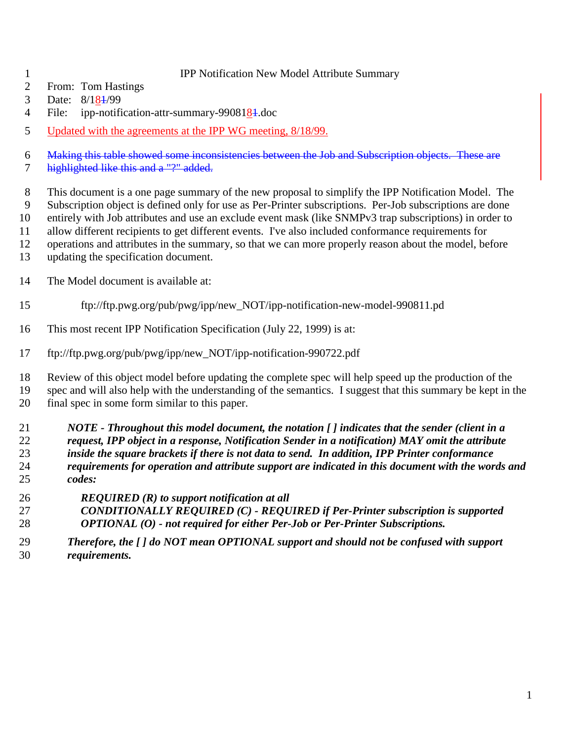#### IPP Notification New Model Attribute Summary

- From: Tom Hastings
- 3 Date:  $8/18\frac{1}{9}$
- 4 File: ipp-notification-attr-summary-9908184.doc
- 5 Updated with the agreements at the IPP WG meeting,  $8/18/99$ .

Making this table showed some inconsistencies between the Job and Subscription objects. These are

7 highlighted like this and a "?" added.

This document is a one page summary of the new proposal to simplify the IPP Notification Model. The

- Subscription object is defined only for use as Per-Printer subscriptions. Per-Job subscriptions are done entirely with Job attributes and use an exclude event mask (like SNMPv3 trap subscriptions) in order to
- allow different recipients to get different events. I've also included conformance requirements for
- operations and attributes in the summary, so that we can more properly reason about the model, before
- updating the specification document.
- The Model document is available at:
- ftp://ftp.pwg.org/pub/pwg/ipp/new\_NOT/ipp-notification-new-model-990811.pd
- This most recent IPP Notification Specification (July 22, 1999) is at:
- ftp://ftp.pwg.org/pub/pwg/ipp/new\_NOT/ipp-notification-990722.pdf

 Review of this object model before updating the complete spec will help speed up the production of the spec and will also help with the understanding of the semantics. I suggest that this summary be kept in the final spec in some form similar to this paper.

 *NOTE - Throughout this model document, the notation [ ] indicates that the sender (client in a request, IPP object in a response, Notification Sender in a notification) MAY omit the attribute inside the square brackets if there is not data to send. In addition, IPP Printer conformance requirements for operation and attribute support are indicated in this document with the words and codes:*

- *REQUIRED (R) to support notification at all*
- *CONDITIONALLY REQUIRED (C) REQUIRED if Per-Printer subscription is supported OPTIONAL (O) - not required for either Per-Job or Per-Printer Subscriptions.*
- *Therefore, the [ ] do NOT mean OPTIONAL support and should not be confused with support requirements.*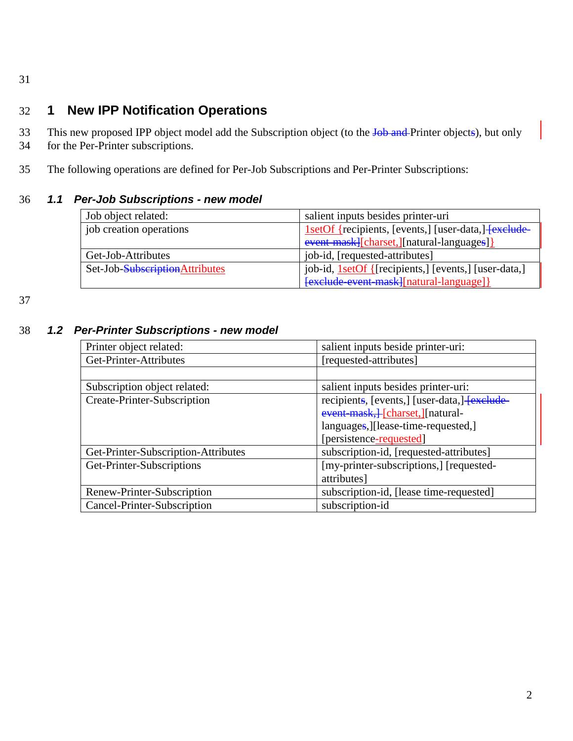31

# 32 **1 New IPP Notification Operations**

33 This new proposed IPP object model add the Subscription object (to the Job and Printer objects), but only

- 34 for the Per-Printer subscriptions.
- 35 The following operations are defined for Per-Job Subscriptions and Per-Printer Subscriptions:

### 36 *1.1 Per-Job Subscriptions - new model*

| Job object related:            | salient inputs besides printer-uri                          |
|--------------------------------|-------------------------------------------------------------|
| job creation operations        | 1setOf {recipients, [events,] [user-data,] [exclude         |
|                                | event mask][charset,][natural-languages]]                   |
| Get-Job-Attributes             | job-id, [requested-attributes]                              |
| Set-Job-SubscriptionAttributes | job-id, <u>1setOf</u> {[recipients,] [events,] [user-data,] |
|                                | [exclude event mask][natural-language]]                     |

37

#### 38 *1.2 Per-Printer Subscriptions - new model*

| Printer object related:             | salient inputs beside printer-uri:           |
|-------------------------------------|----------------------------------------------|
| Get-Printer-Attributes              | [requested-attributes]                       |
|                                     |                                              |
| Subscription object related:        | salient inputs besides printer-uri:          |
| Create-Printer-Subscription         | recipients, [events,] [user-data,] [exclude- |
|                                     | event-mask, [charset, ] [natural-            |
|                                     | languages, [lease-time-requested,]           |
|                                     | [persistence-requested]                      |
| Get-Printer-Subscription-Attributes | subscription-id, [requested-attributes]      |
| Get-Printer-Subscriptions           | [my-printer-subscriptions,] [requested-      |
|                                     | attributes]                                  |
| Renew-Printer-Subscription          | subscription-id, [lease time-requested]      |
| Cancel-Printer-Subscription         | subscription-id                              |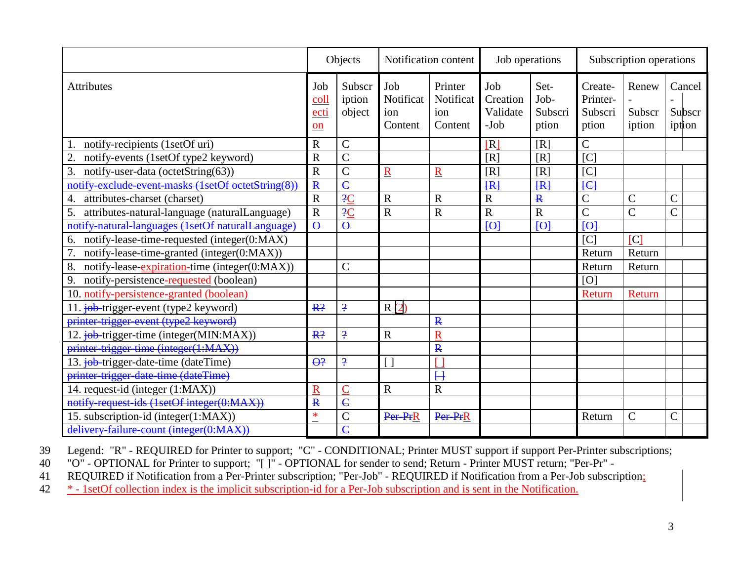|                                                     |                           | Objects                    | Notification content               |                                        | Job operations                        |                                  | Subscription operations                 |                           |                            |
|-----------------------------------------------------|---------------------------|----------------------------|------------------------------------|----------------------------------------|---------------------------------------|----------------------------------|-----------------------------------------|---------------------------|----------------------------|
| <b>Attributes</b>                                   | Job<br>coll<br>ecti<br>on | Subscr<br>iption<br>object | Job<br>Notificat<br>ion<br>Content | Printer<br>Notificat<br>ion<br>Content | Job<br>Creation<br>Validate<br>$-Job$ | Set-<br>Job-<br>Subscri<br>ption | Create-<br>Printer-<br>Subscri<br>ption | Renew<br>Subscr<br>iption | Cancel<br>Subscr<br>iption |
| notify-recipients (1setOf uri)                      | $\overline{R}$            | C                          |                                    |                                        | [R]                                   | [R]                              | $\overline{C}$                          |                           |                            |
| notify-events (1setOf type2 keyword)<br>2.          | $\overline{\text{R}}$     | C                          |                                    |                                        | [R]                                   | [R]                              | $\overline{\mathsf{C}}$                 |                           |                            |
| 3.<br>notify-user-data (octetString(63))            | $\overline{R}$            | $\overline{\rm C}$         | $\overline{\text{R}}$              | R                                      | [R]                                   | [R]                              | $[{\rm C}]$                             |                           |                            |
| notify-exclude-event-masks (1setOf octetString(8))  | $\mathbf{R}$              | $\overline{\mathsf{C}}$    |                                    |                                        | [ R ]                                 | [ R ]                            | H                                       |                           |                            |
| attributes-charset (charset)<br>4.                  | $\overline{\mathrm{R}}$   | 2C                         | $\overline{R}$                     | R                                      | $\mathbf R$                           | $\mathbf{R}$                     | $\overline{C}$                          | $\overline{C}$            | $\overline{\rm C}$         |
| 5.<br>attributes-natural-language (naturalLanguage) | $\mathbf R$               | 2C                         | $\mathbf R$                        | R                                      | $\overline{R}$                        | $\overline{\text{R}}$            | $\overline{C}$                          | $\overline{C}$            | $\overline{\rm C}$         |
| notify natural languages (1setOf naturalLanguage)   | $\Theta$                  | $\Theta$                   |                                    |                                        | H                                     | H                                | $1$                                     |                           |                            |
| notify-lease-time-requested (integer(0:MAX)<br>6.   |                           |                            |                                    |                                        |                                       |                                  | C                                       | $[{\rm C}]$               |                            |
| notify-lease-time-granted (integer(0:MAX))          |                           |                            |                                    |                                        |                                       |                                  | Return                                  | Return                    |                            |
| 8.<br>notify-lease-expiration-time (integer(0:MAX)) |                           | C                          |                                    |                                        |                                       |                                  | Return                                  | Return                    |                            |
| 9.<br>notify-persistence-requested (boolean)        |                           |                            |                                    |                                        |                                       |                                  | [O]                                     |                           |                            |
| 10. notify-persistence-granted (boolean)            |                           |                            |                                    |                                        |                                       |                                  | Return                                  | Return                    |                            |
| 11. job-trigger-event (type2 keyword)               | R <sup>2</sup>            | $\overline{.}$             | R(2)                               |                                        |                                       |                                  |                                         |                           |                            |
| printer-trigger-event (type2 keyword)               |                           |                            |                                    | $\mathbf{R}$                           |                                       |                                  |                                         |                           |                            |
| 12. job-trigger-time (integer(MIN:MAX))             | R <sup>2</sup>            | $\overline{.}$             | $\mathbf R$                        | $\overline{\text{R}}$                  |                                       |                                  |                                         |                           |                            |
| printer-trigger-time (integer(1:MAX))               |                           |                            |                                    | $\mathbf{R}$                           |                                       |                                  |                                         |                           |                            |
| 13. job-trigger-date-time (dateTime)                | $\Theta$ ?                | $\overline{.}$             |                                    |                                        |                                       |                                  |                                         |                           |                            |
| printer-trigger-date-time (dateTime)                |                           |                            |                                    | $\overline{H}$                         |                                       |                                  |                                         |                           |                            |
| 14. request-id (integer (1:MAX))                    | R                         |                            | $\overline{R}$                     | $\overline{\text{R}}$                  |                                       |                                  |                                         |                           |                            |
| notify request ids (1setOf integer(0:MAX))          | $\overline{\mathbf{R}}$   | $\overline{\mathbf{c}}$    |                                    |                                        |                                       |                                  |                                         |                           |                            |
| 15. subscription-id (integer(1:MAX))                | $\ast$                    | $\overline{\rm C}$         | Per-PrR                            | Per-PrR                                |                                       |                                  | Return                                  | $\overline{C}$            | $\overline{\rm C}$         |
| delivery failure count (integer(0:MAX))             |                           | $\epsilon$                 |                                    |                                        |                                       |                                  |                                         |                           |                            |

39 Legend: "R" - REQUIRED for Printer to support; "C" - CONDITIONAL; Printer MUST support if support Per-Printer subscriptions;

40 "O" - OPTIONAL for Printer to support; "[ ]" - OPTIONAL for sender to send; Return - Printer MUST return; "Per-Pr" -

41 REQUIRED if Notification from a Per-Printer subscription; "Per-Job" - REQUIRED if Notification from a Per-Job subscription;

42 \* - 1setOf collection index is the implicit subscription-id for a Per-Job subscription and is sent in the Notification.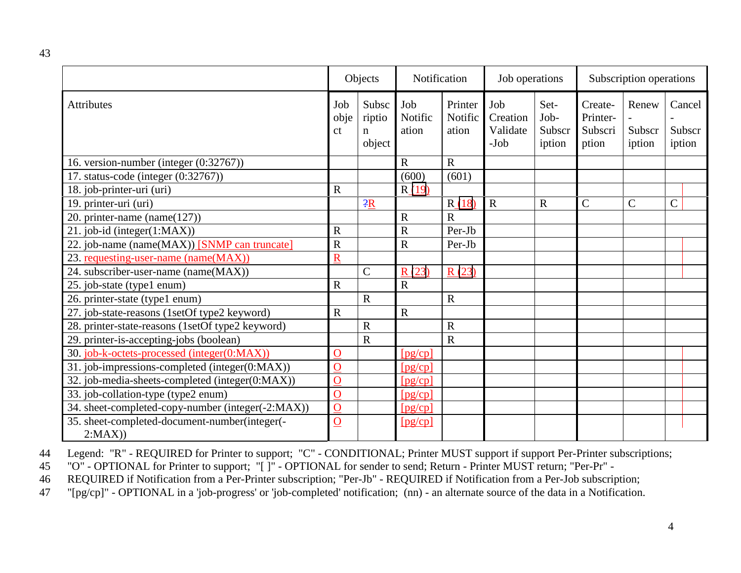43

|                                                         | Objects               |                                          | Notification            |                             | Job operations                        |                                  | Subscription operations                 |                           |                            |  |
|---------------------------------------------------------|-----------------------|------------------------------------------|-------------------------|-----------------------------|---------------------------------------|----------------------------------|-----------------------------------------|---------------------------|----------------------------|--|
| <b>Attributes</b>                                       | Job<br>obje<br>ct     | Subsc<br>riptio<br>$\mathbf n$<br>object | Job<br>Notific<br>ation | Printer<br>Notific<br>ation | Job<br>Creation<br>Validate<br>$-Job$ | Set-<br>Job-<br>Subscr<br>iption | Create-<br>Printer-<br>Subscri<br>ption | Renew<br>Subscr<br>iption | Cancel<br>Subscr<br>iption |  |
| 16. version-number (integer (0:32767))                  |                       |                                          | $\overline{R}$          | $\mathbf R$                 |                                       |                                  |                                         |                           |                            |  |
| 17. status-code (integer (0:32767))                     |                       |                                          | (600)                   | (601)                       |                                       |                                  |                                         |                           |                            |  |
| 18. job-printer-uri (uri)                               | $\overline{R}$        |                                          | R(19)                   |                             |                                       |                                  |                                         |                           |                            |  |
| 19. printer-uri (uri)                                   |                       | $-2R$                                    |                         | R(18)                       | $\mathbf R$                           | $\overline{R}$                   | $\mathbf C$                             | $\mathbf C$               | $\overline{C}$             |  |
| 20. printer-name (name $(127)$ )                        |                       |                                          | $\mathbb{R}$            | $\overline{R}$              |                                       |                                  |                                         |                           |                            |  |
| 21. job-id (integer(1:MAX))                             | $\overline{R}$        |                                          | $\mathbf R$             | Per-Jb                      |                                       |                                  |                                         |                           |                            |  |
| 22. job-name (name(MAX)) [SNMP can truncate]            | $\overline{R}$        |                                          | $\mathbf R$             | Per-Jb                      |                                       |                                  |                                         |                           |                            |  |
| 23. requesting-user-name (name(MAX))                    | $\overline{\text{R}}$ |                                          |                         |                             |                                       |                                  |                                         |                           |                            |  |
| 24. subscriber-user-name (name(MAX))                    |                       | $\mathcal{C}$                            | R(23)                   | R(23)                       |                                       |                                  |                                         |                           |                            |  |
| 25. job-state (type1 enum)                              | $\mathbf R$           |                                          | $\overline{R}$          |                             |                                       |                                  |                                         |                           |                            |  |
| 26. printer-state (type1 enum)                          |                       | $\mathbf R$                              |                         | $\mathbf R$                 |                                       |                                  |                                         |                           |                            |  |
| 27. job-state-reasons (1setOf type2 keyword)            | $\mathbf R$           |                                          | $\mathbf R$             |                             |                                       |                                  |                                         |                           |                            |  |
| 28. printer-state-reasons (1setOf type2 keyword)        |                       | $\mathbf R$                              |                         | $\mathbf R$                 |                                       |                                  |                                         |                           |                            |  |
| 29. printer-is-accepting-jobs (boolean)                 |                       | $\overline{R}$                           |                         | $\overline{R}$              |                                       |                                  |                                         |                           |                            |  |
| 30. job-k-octets-processed (integer(0:MAX))             | $\overline{O}$        |                                          | [pg/cp]                 |                             |                                       |                                  |                                         |                           |                            |  |
| 31. job-impressions-completed (integer(0:MAX))          | $\mathbf O$           |                                          | [pg/cp]                 |                             |                                       |                                  |                                         |                           |                            |  |
| 32. job-media-sheets-completed (integer(0:MAX))         | $\overline{O}$        |                                          | [pg/cp]                 |                             |                                       |                                  |                                         |                           |                            |  |
| 33. job-collation-type (type2 enum)                     | $\overline{O}$        |                                          | [pg/cp]                 |                             |                                       |                                  |                                         |                           |                            |  |
| 34. sheet-completed-copy-number (integer(-2:MAX))       | $\overline{O}$        |                                          | [pg/cp]                 |                             |                                       |                                  |                                         |                           |                            |  |
| 35. sheet-completed-document-number(integer(-<br>2:MAX) | $\overline{O}$        |                                          | [pg/cp]                 |                             |                                       |                                  |                                         |                           |                            |  |

44 Legend: "R" - REQUIRED for Printer to support; "C" - CONDITIONAL; Printer MUST support if support Per-Printer subscriptions;<br>45 "O" - OPTIONAL for Printer to support; "[]" - OPTIONAL for sender to send; Return - Printer

"O" - OPTIONAL for Printer to support; "[ ]" - OPTIONAL for sender to send; Return - Printer MUST return; "Per-Pr" -

46 REQUIRED if Notification from a Per-Printer subscription; "Per-Jb" - REQUIRED if Notification from a Per-Job subscription;

47 "[pg/cp]" - OPTIONAL in a 'job-progress' or 'job-completed' notification; (nn) - an alternate source of the data in a Notification.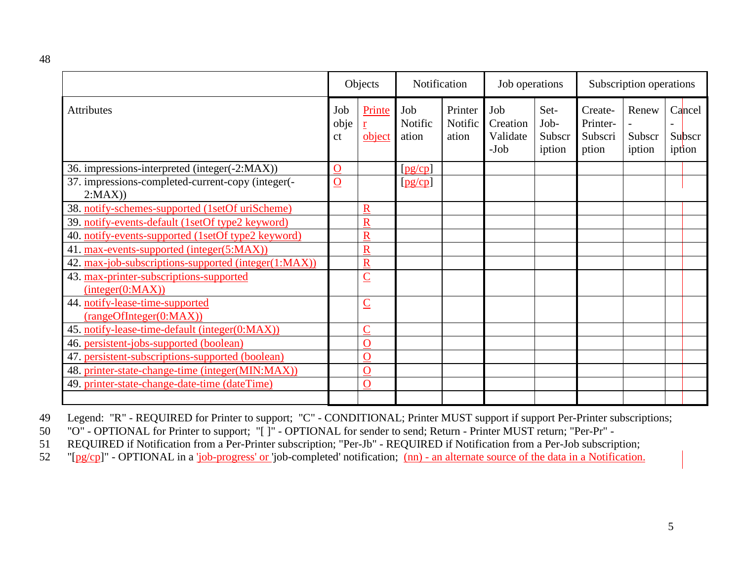|                                                             | Objects           |                         | Notification            |                             | Job operations                        |                                  | Subscription operations                 |                           |  |                            |
|-------------------------------------------------------------|-------------------|-------------------------|-------------------------|-----------------------------|---------------------------------------|----------------------------------|-----------------------------------------|---------------------------|--|----------------------------|
| <b>Attributes</b>                                           | Job<br>obje<br>ct | Printe<br>r<br>object   | Job<br>Notific<br>ation | Printer<br>Notific<br>ation | Job<br>Creation<br>Validate<br>$-Job$ | Set-<br>Job-<br>Subscr<br>iption | Create-<br>Printer-<br>Subscri<br>ption | Renew<br>Subscr<br>iption |  | Cancel<br>Subscr<br>iption |
| 36. impressions-interpreted (integer(-2:MAX))               | $\mathbf O$       |                         | [pg/cp]                 |                             |                                       |                                  |                                         |                           |  |                            |
| 37. impressions-completed-current-copy (integer(-<br>2:MAX) | $\overline{O}$    |                         | [pg/cp]                 |                             |                                       |                                  |                                         |                           |  |                            |
| 38. notify-schemes-supported (1setOf uriScheme)             |                   | R                       |                         |                             |                                       |                                  |                                         |                           |  |                            |
| 39. notify-events-default (1setOf type2 keyword)            |                   | $\overline{\text{R}}$   |                         |                             |                                       |                                  |                                         |                           |  |                            |
| 40. notify-events-supported (1setOf type2 keyword)          |                   | $\overline{\text{R}}$   |                         |                             |                                       |                                  |                                         |                           |  |                            |
| 41. max-events-supported (integer(5:MAX))                   |                   | $\overline{\mathbf{R}}$ |                         |                             |                                       |                                  |                                         |                           |  |                            |
| 42. max-job-subscriptions-supported (integer(1:MAX))        |                   | $\overline{\mathsf{R}}$ |                         |                             |                                       |                                  |                                         |                           |  |                            |
| 43. max-printer-subscriptions-supported<br>interger(0:MAX)) |                   | $\overline{\mathsf{C}}$ |                         |                             |                                       |                                  |                                         |                           |  |                            |
| 44. notify-lease-time-supported<br>(rangeOfInteger(0:MAX))  |                   | $\overline{\mathsf{C}}$ |                         |                             |                                       |                                  |                                         |                           |  |                            |
| 45. notify-lease-time-default (integer(0:MAX))              |                   | $\overline{\mathsf{C}}$ |                         |                             |                                       |                                  |                                         |                           |  |                            |
| 46. persistent-jobs-supported (boolean)                     |                   | Ô                       |                         |                             |                                       |                                  |                                         |                           |  |                            |
| 47. persistent-subscriptions-supported (boolean)            |                   | $\overline{O}$          |                         |                             |                                       |                                  |                                         |                           |  |                            |
| 48. printer-state-change-time (integer(MIN:MAX))            |                   | $\mathbf O$             |                         |                             |                                       |                                  |                                         |                           |  |                            |
| 49. printer-state-change-date-time (dateTime)               |                   | $\mathbf O$             |                         |                             |                                       |                                  |                                         |                           |  |                            |
|                                                             |                   |                         |                         |                             |                                       |                                  |                                         |                           |  |                            |

49 Legend: "R" - REQUIRED for Printer to support; "C" - CONDITIONAL; Printer MUST support if support Per-Printer subscriptions;

50 "O" - OPTIONAL for Printer to support; "[ ]" - OPTIONAL for sender to send; Return - Printer MUST return; "Per-Pr" -

51 REQUIRED if Notification from a Per-Printer subscription; "Per-Jb" - REQUIRED if Notification from a Per-Job subscription;<br>52 "[pg/cp]" - OPTIONAL in a 'job-progress' or 'job-completed' notification; (nn) - an alternate

"[pg/cp]" - OPTIONAL in a 'job-progress' or 'job-completed' notification; (nn) - an alternate source of the data in a Notification.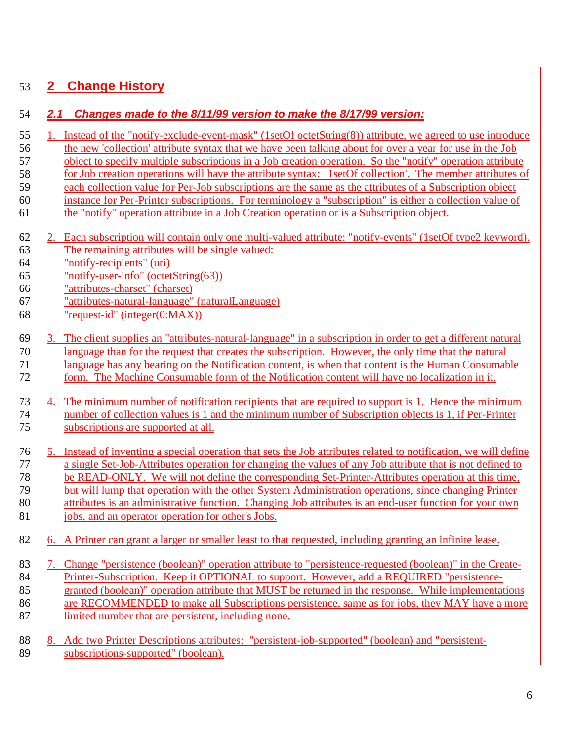## **2 Change History**

#### *2.1 Changes made to the 8/11/99 version to make the 8/17/99 version:*

- 1. Instead of the "notify-exclude-event-mask" (1setOf octetString(8)) attribute, we agreed to use introduce 56 the new 'collection' attribute syntax that we have been talking about for over a year for use in the Job
- object to specify multiple subscriptions in a Job creation operation. So the "notify" operation attribute
- for Job creation operations will have the attribute syntax: '1setOf collection'. The member attributes of
- each collection value for Per-Job subscriptions are the same as the attributes of a Subscription object
- instance for Per-Printer subscriptions. For terminology a "subscription" is either a collection value of
- the "notify" operation attribute in a Job Creation operation or is a Subscription object.
- 2. Each subscription will contain only one multi-valued attribute: "notify-events" (1setOf type2 keyword). The remaining attributes will be single valued:
- "notify-recipients" (uri)
- "notify-user-info" (octetString(63))
- "attributes-charset" (charset)
- "attributes-natural-language" (naturalLanguage)
- "request-id" (integer(0:MAX))
- 3. The client supplies an "attributes-natural-language" in a subscription in order to get a different natural
- language than for the request that creates the subscription. However, the only time that the natural
- language has any bearing on the Notification content, is when that content is the Human Consumable
- form. The Machine Consumable form of the Notification content will have no localization in it.

 4. The minimum number of notification recipients that are required to support is 1. Hence the minimum number of collection values is 1 and the minimum number of Subscription objects is 1, if Per-Printer subscriptions are supported at all.

- 5. Instead of inventing a special operation that sets the Job attributes related to notification, we will define a single Set-Job-Attributes operation for changing the values of any Job attribute that is not defined to be READ-ONLY. We will not define the corresponding Set-Printer-Attributes operation at this time,
- but will lump that operation with the other System Administration operations, since changing Printer
- attributes is an administrative function. Changing Job attributes is an end-user function for your own
- 81 jobs, and an operator operation for other's Jobs.
- 6. A Printer can grant a larger or smaller least to that requested, including granting an infinite lease.
- 7. Change "persistence (boolean)" operation attribute to "persistence-requested (boolean)" in the Create-84 Printer-Subscription. Keep it OPTIONAL to support. However, add a REQUIRED "persistence- granted (boolean)" operation attribute that MUST be returned in the response. While implementations are RECOMMENDED to make all Subscriptions persistence, same as for jobs, they MAY have a more
- 87 limited number that are persistent, including none.
- 8. Add two Printer Descriptions attributes: "persistent-job-supported" (boolean) and "persistent-subscriptions-supported" (boolean).